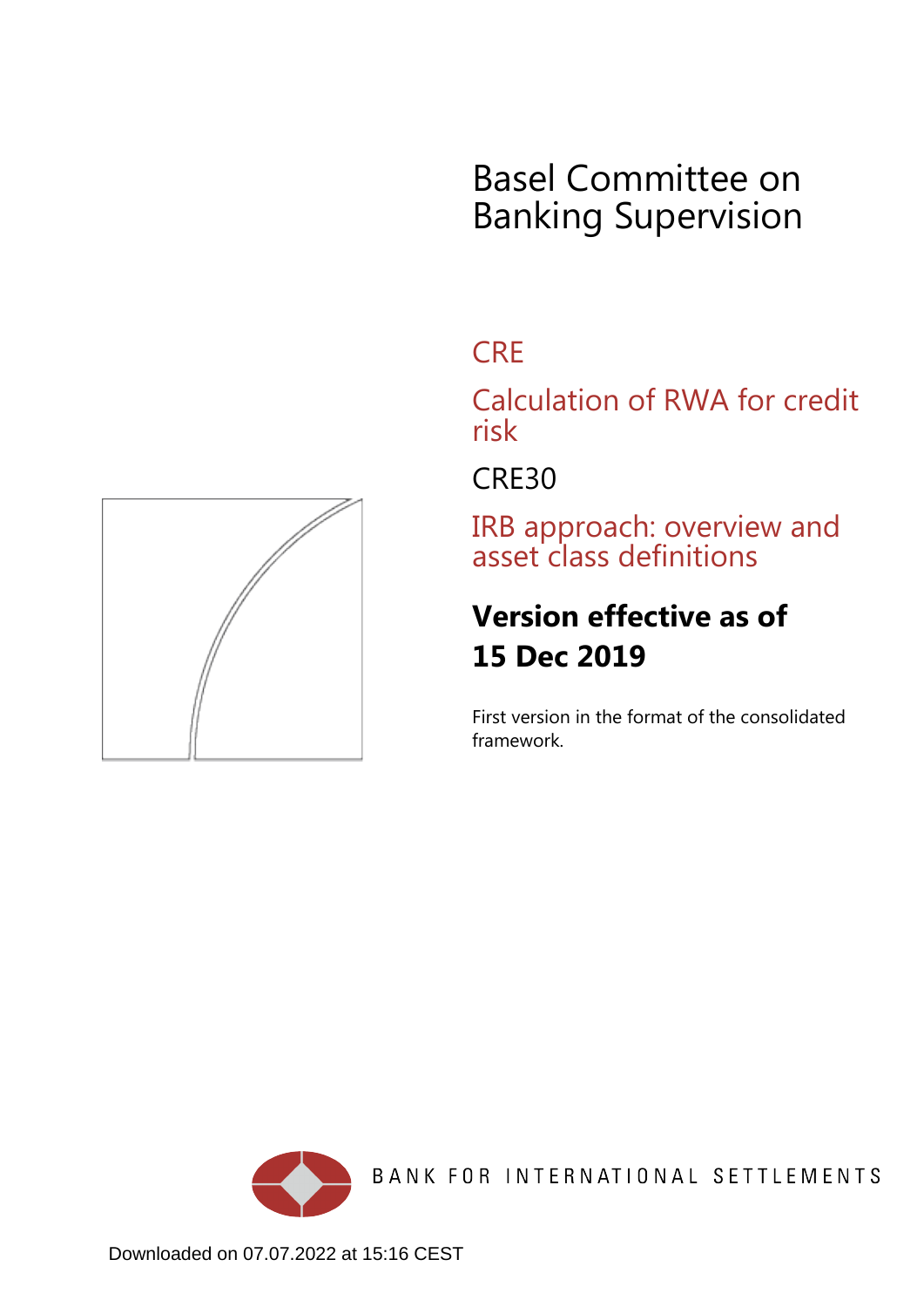# Basel Committee on Banking Supervision

## **CRE**

Calculation of RWA for credit risk

CRE30

IRB approach: overview and asset class definitions

## **Version effective as of 15 Dec 2019**

First version in the format of the consolidated framework.



BANK FOR INTERNATIONAL SETTLEMENTS

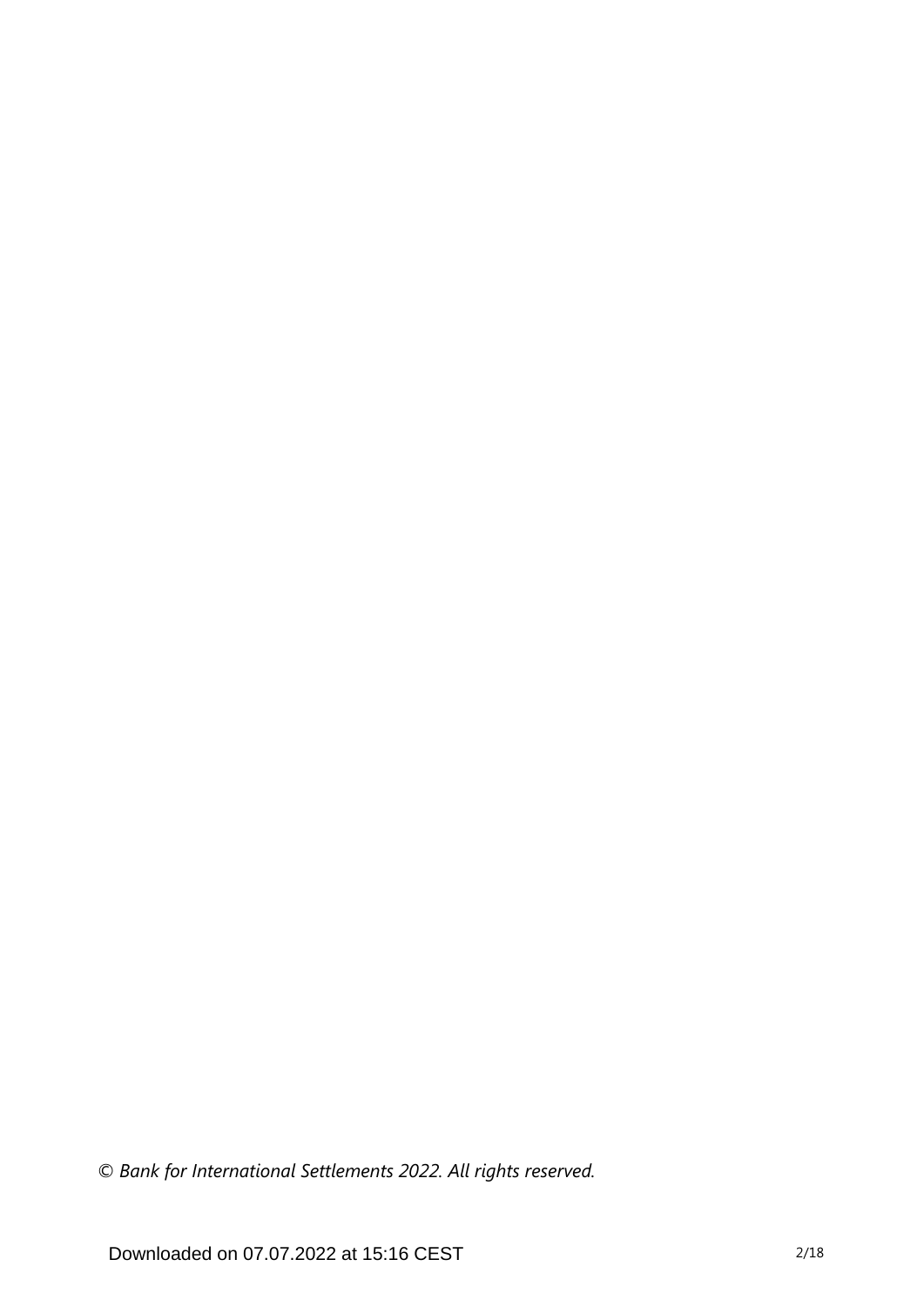*© Bank for International Settlements 2022. All rights reserved.*

Downloaded on 07.07.2022 at 15:16 CEST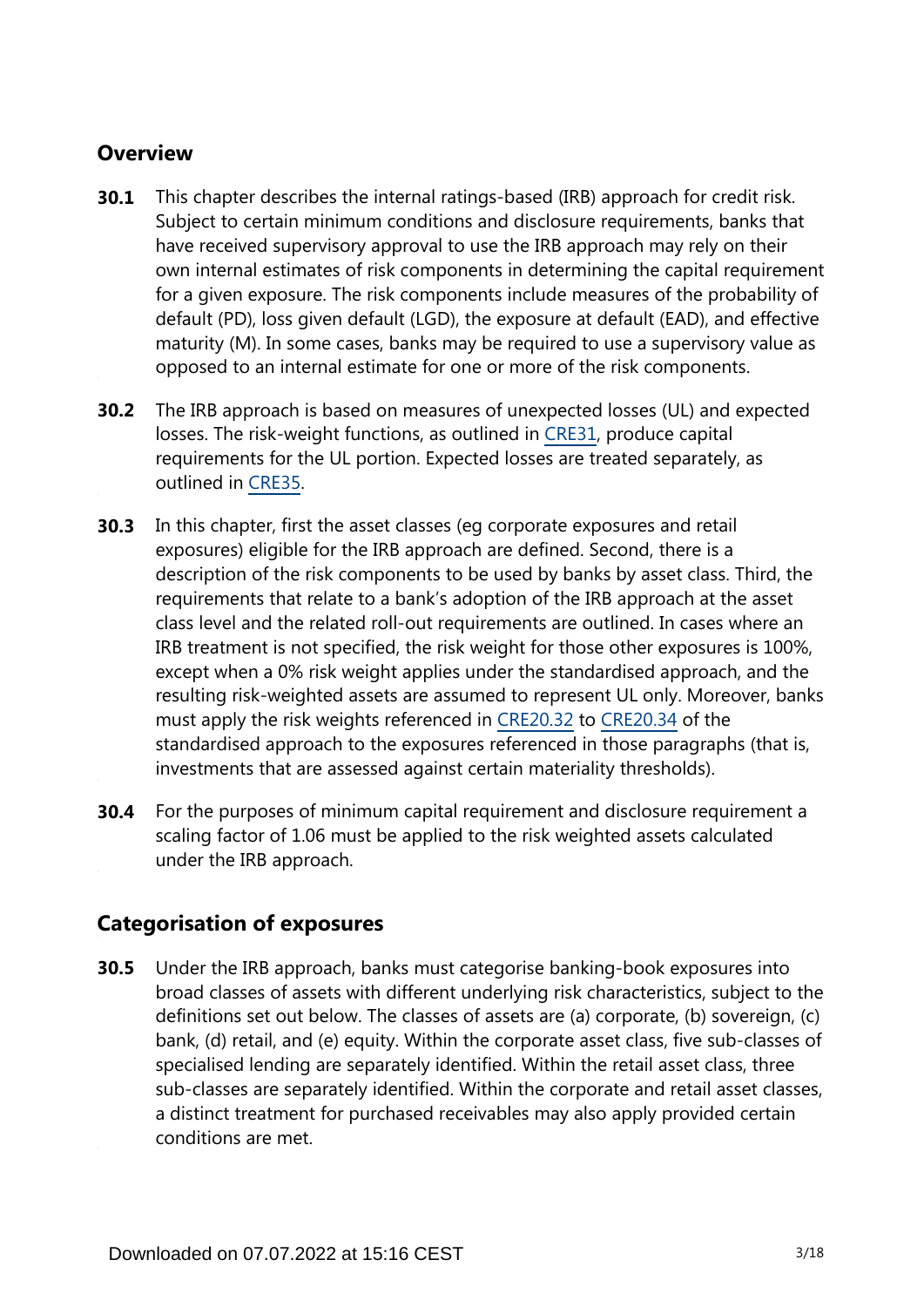## **Overview**

- This chapter describes the internal ratings-based (IRB) approach for credit risk. Subject to certain minimum conditions and disclosure requirements, banks that have received supervisory approval to use the IRB approach may rely on their own internal estimates of risk components in determining the capital requirement for a given exposure. The risk components include measures of the probability of default (PD), loss given default (LGD), the exposure at default (EAD), and effective maturity (M). In some cases, banks may be required to use a supervisory value as opposed to an internal estimate for one or more of the risk components. **30.1**
- The IRB approach is based on measures of unexpected losses (UL) and expected losses. The risk-weight functions, as outlined in [CRE31,](https://www.bis.org/basel_framework/chapter/CRE/31.htm?tldate=20220102&inforce=20191215&published=20191215) produce capital requirements for the UL portion. Expected losses are treated separately, as outlined in [CRE35.](https://www.bis.org/basel_framework/chapter/CRE/35.htm?tldate=20220102&inforce=20191215&published=20191215) **30.2**
- In this chapter, first the asset classes (eg corporate exposures and retail exposures) eligible for the IRB approach are defined. Second, there is a description of the risk components to be used by banks by asset class. Third, the requirements that relate to a bank's adoption of the IRB approach at the asset class level and the related roll-out requirements are outlined. In cases where an IRB treatment is not specified, the risk weight for those other exposures is 100%, except when a 0% risk weight applies under the standardised approach, and the resulting risk-weighted assets are assumed to represent UL only. Moreover, banks must apply the risk weights referenced in [CRE20.32](https://www.bis.org/basel_framework/chapter/CRE/20.htm?tldate=20220102&inforce=20191215&published=20191215#paragraph_CRE_20_20191215_20_32) to [CRE20.34](https://www.bis.org/basel_framework/chapter/CRE/20.htm?tldate=20220102&inforce=20191215&published=20191215#paragraph_CRE_20_20191215_20_34) of the standardised approach to the exposures referenced in those paragraphs (that is, investments that are assessed against certain materiality thresholds). **30.3**
- **30.4** For the purposes of minimum capital requirement and disclosure requirement a scaling factor of 1.06 must be applied to the risk weighted assets calculated under the IRB approach.

## **Categorisation of exposures**

Under the IRB approach, banks must categorise banking-book exposures into broad classes of assets with different underlying risk characteristics, subject to the definitions set out below. The classes of assets are (a) corporate, (b) sovereign, (c) bank, (d) retail, and (e) equity. Within the corporate asset class, five sub-classes of specialised lending are separately identified. Within the retail asset class, three sub-classes are separately identified. Within the corporate and retail asset classes, a distinct treatment for purchased receivables may also apply provided certain conditions are met. **30.5**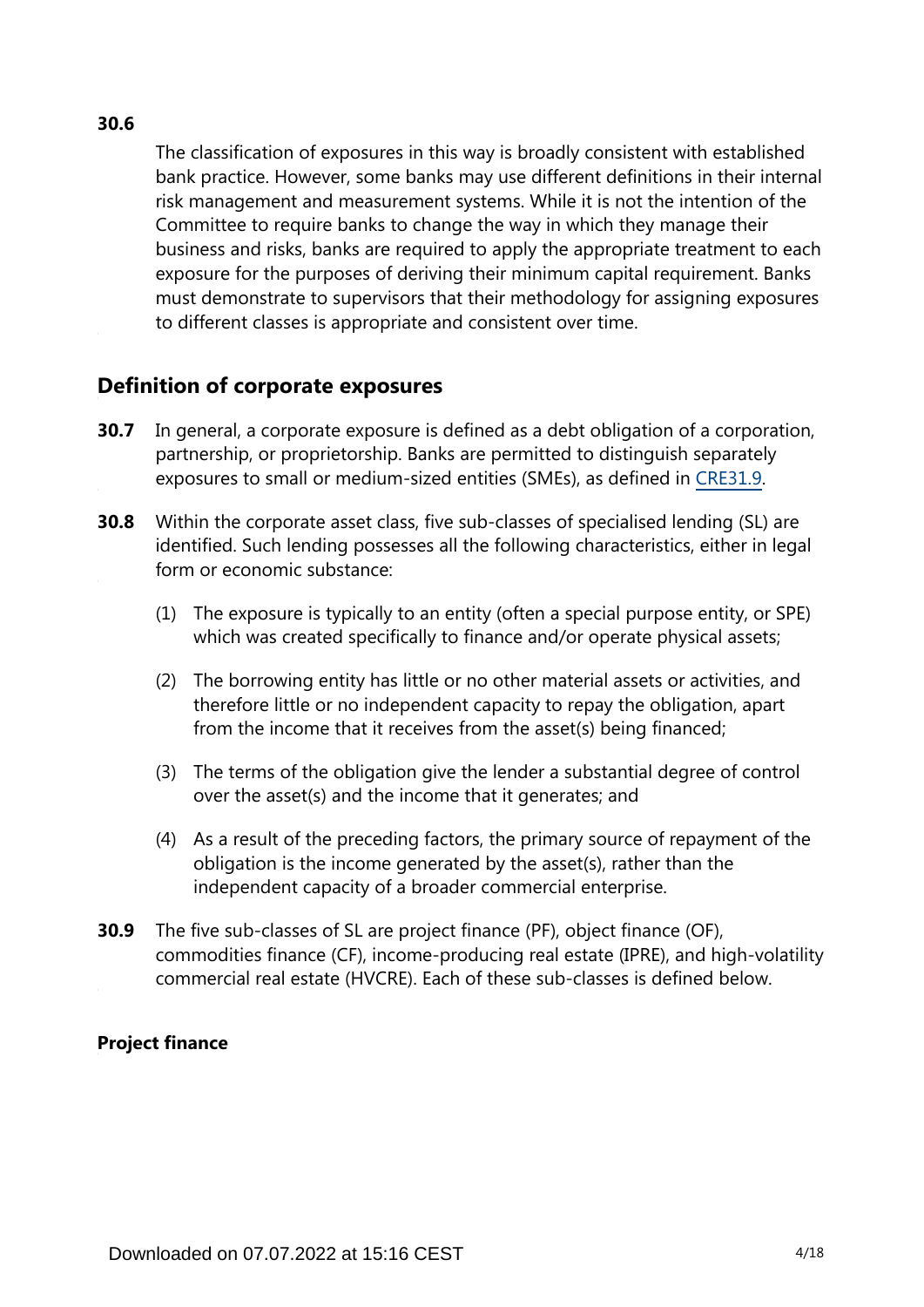#### **30.6**

The classification of exposures in this way is broadly consistent with established bank practice. However, some banks may use different definitions in their internal risk management and measurement systems. While it is not the intention of the Committee to require banks to change the way in which they manage their business and risks, banks are required to apply the appropriate treatment to each exposure for the purposes of deriving their minimum capital requirement. Banks must demonstrate to supervisors that their methodology for assigning exposures to different classes is appropriate and consistent over time.

### **Definition of corporate exposures**

- In general, a corporate exposure is defined as a debt obligation of a corporation, partnership, or proprietorship. Banks are permitted to distinguish separately exposures to small or medium-sized entities (SMEs), as defined in [CRE31.9.](https://www.bis.org/basel_framework/chapter/CRE/31.htm?tldate=20220102&inforce=20191215&published=20191215#paragraph_CRE_31_20191215_31_9) **30.7**
- Within the corporate asset class, five sub-classes of specialised lending (SL) are identified. Such lending possesses all the following characteristics, either in legal form or economic substance: **30.8**
	- (1) The exposure is typically to an entity (often a special purpose entity, or SPE) which was created specifically to finance and/or operate physical assets;
	- (2) The borrowing entity has little or no other material assets or activities, and therefore little or no independent capacity to repay the obligation, apart from the income that it receives from the asset(s) being financed;
	- (3) The terms of the obligation give the lender a substantial degree of control over the asset(s) and the income that it generates; and
	- (4) As a result of the preceding factors, the primary source of repayment of the obligation is the income generated by the asset(s), rather than the independent capacity of a broader commercial enterprise.
- The five sub-classes of SL are project finance (PF), object finance (OF), commodities finance (CF), income-producing real estate (IPRE), and high-volatility commercial real estate (HVCRE). Each of these sub-classes is defined below. **30.9**

#### **Project finance**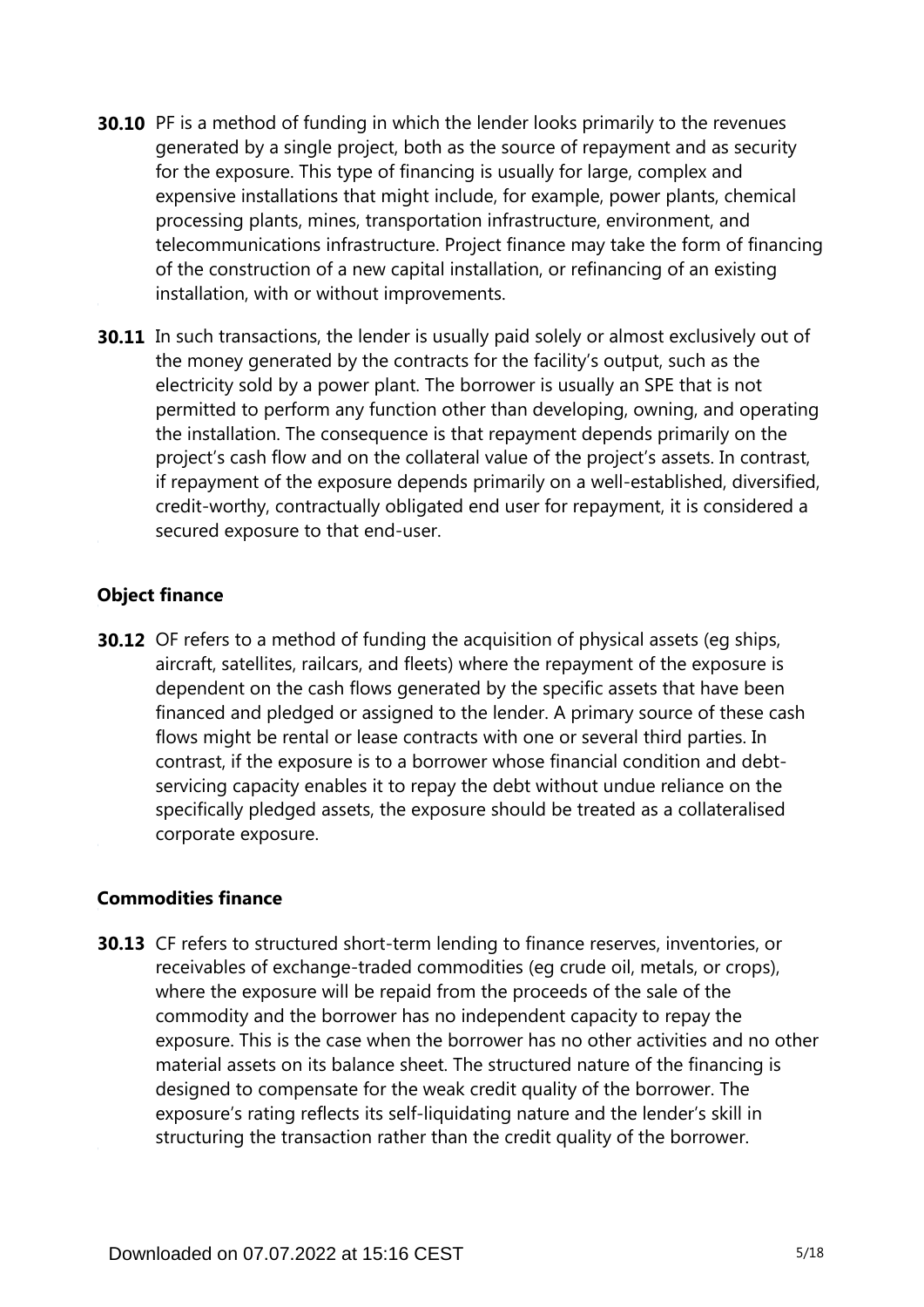- **30.10** PF is a method of funding in which the lender looks primarily to the revenues generated by a single project, both as the source of repayment and as security for the exposure. This type of financing is usually for large, complex and expensive installations that might include, for example, power plants, chemical processing plants, mines, transportation infrastructure, environment, and telecommunications infrastructure. Project finance may take the form of financing of the construction of a new capital installation, or refinancing of an existing installation, with or without improvements.
- **30.11** In such transactions, the lender is usually paid solely or almost exclusively out of the money generated by the contracts for the facility's output, such as the electricity sold by a power plant. The borrower is usually an SPE that is not permitted to perform any function other than developing, owning, and operating the installation. The consequence is that repayment depends primarily on the project's cash flow and on the collateral value of the project's assets. In contrast, if repayment of the exposure depends primarily on a well-established, diversified, credit-worthy, contractually obligated end user for repayment, it is considered a secured exposure to that end-user.

#### **Object finance**

**30.12** OF refers to a method of funding the acquisition of physical assets (eg ships, aircraft, satellites, railcars, and fleets) where the repayment of the exposure is dependent on the cash flows generated by the specific assets that have been financed and pledged or assigned to the lender. A primary source of these cash flows might be rental or lease contracts with one or several third parties. In contrast, if the exposure is to a borrower whose financial condition and debtservicing capacity enables it to repay the debt without undue reliance on the specifically pledged assets, the exposure should be treated as a collateralised corporate exposure.

#### **Commodities finance**

**30.13** CF refers to structured short-term lending to finance reserves, inventories, or receivables of exchange-traded commodities (eg crude oil, metals, or crops), where the exposure will be repaid from the proceeds of the sale of the commodity and the borrower has no independent capacity to repay the exposure. This is the case when the borrower has no other activities and no other material assets on its balance sheet. The structured nature of the financing is designed to compensate for the weak credit quality of the borrower. The exposure's rating reflects its self-liquidating nature and the lender's skill in structuring the transaction rather than the credit quality of the borrower.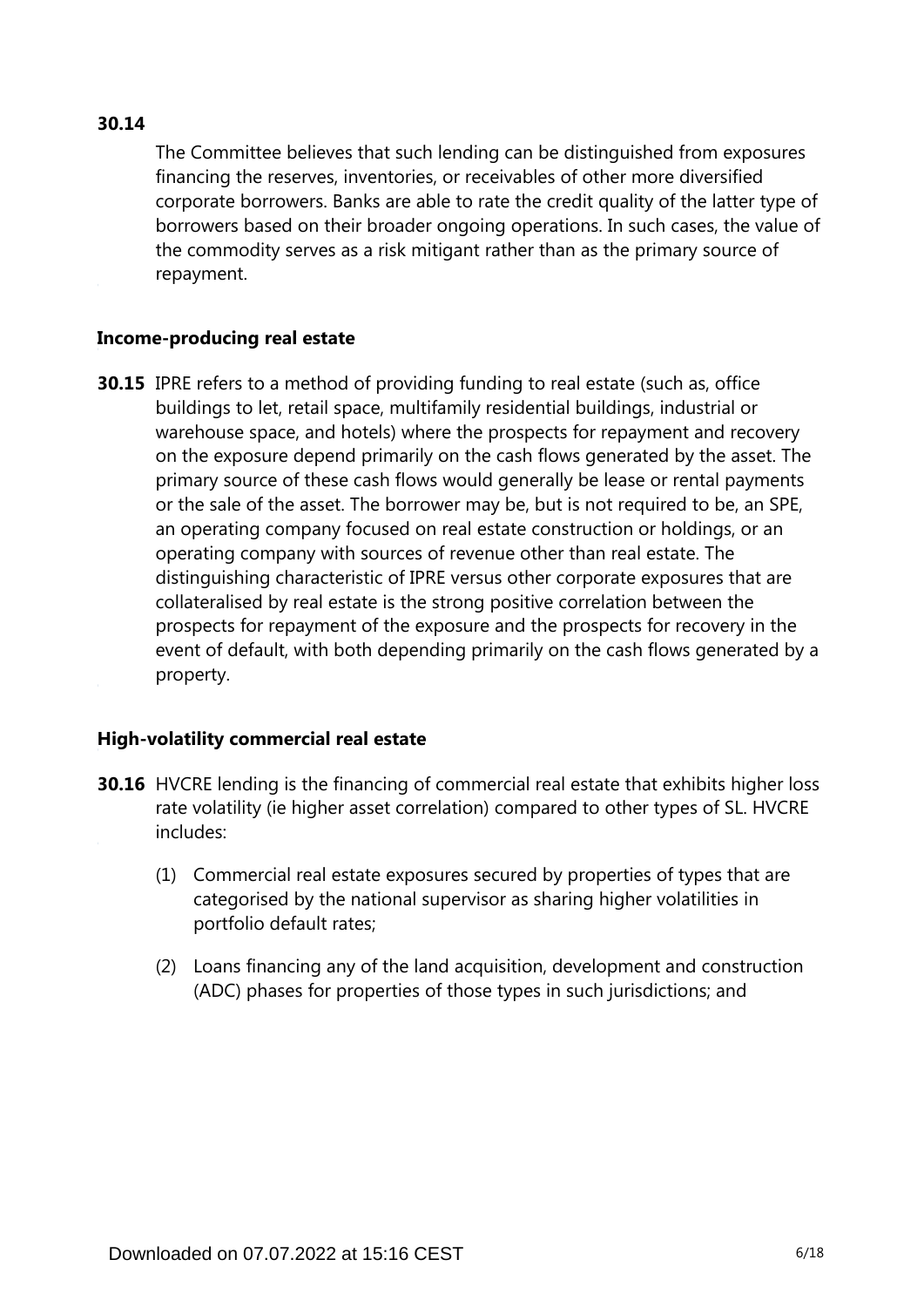#### **30.14**

The Committee believes that such lending can be distinguished from exposures financing the reserves, inventories, or receivables of other more diversified corporate borrowers. Banks are able to rate the credit quality of the latter type of borrowers based on their broader ongoing operations. In such cases, the value of the commodity serves as a risk mitigant rather than as the primary source of repayment.

#### **Income-producing real estate**

**30.15** IPRE refers to a method of providing funding to real estate (such as, office buildings to let, retail space, multifamily residential buildings, industrial or warehouse space, and hotels) where the prospects for repayment and recovery on the exposure depend primarily on the cash flows generated by the asset. The primary source of these cash flows would generally be lease or rental payments or the sale of the asset. The borrower may be, but is not required to be, an SPE, an operating company focused on real estate construction or holdings, or an operating company with sources of revenue other than real estate. The distinguishing characteristic of IPRE versus other corporate exposures that are collateralised by real estate is the strong positive correlation between the prospects for repayment of the exposure and the prospects for recovery in the event of default, with both depending primarily on the cash flows generated by a property.

#### **High-volatility commercial real estate**

- **30.16** HVCRE lending is the financing of commercial real estate that exhibits higher loss rate volatility (ie higher asset correlation) compared to other types of SL. HVCRE includes:
	- (1) Commercial real estate exposures secured by properties of types that are categorised by the national supervisor as sharing higher volatilities in portfolio default rates;
	- (2) Loans financing any of the land acquisition, development and construction (ADC) phases for properties of those types in such jurisdictions; and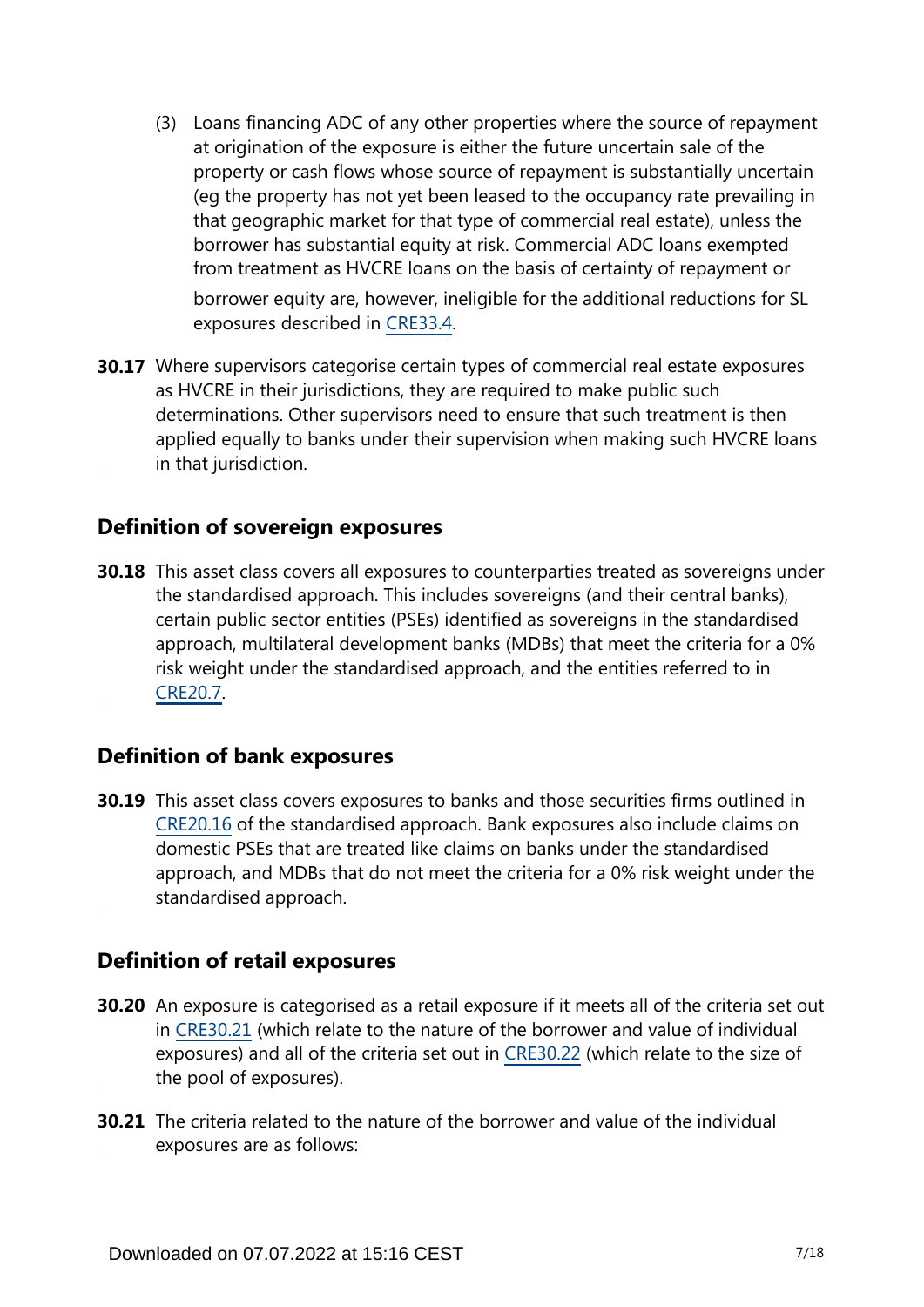- (3) Loans financing ADC of any other properties where the source of repayment at origination of the exposure is either the future uncertain sale of the property or cash flows whose source of repayment is substantially uncertain (eg the property has not yet been leased to the occupancy rate prevailing in that geographic market for that type of commercial real estate), unless the borrower has substantial equity at risk. Commercial ADC loans exempted from treatment as HVCRE loans on the basis of certainty of repayment or borrower equity are, however, ineligible for the additional reductions for SL exposures described in [CRE33.4](https://www.bis.org/basel_framework/chapter/CRE/33.htm?tldate=20220102&inforce=20191215&published=20191215#paragraph_CRE_33_20191215_33_4).
- **30.17** Where supervisors categorise certain types of commercial real estate exposures as HVCRE in their jurisdictions, they are required to make public such determinations. Other supervisors need to ensure that such treatment is then applied equally to banks under their supervision when making such HVCRE loans in that jurisdiction.

## **Definition of sovereign exposures**

**30.18** This asset class covers all exposures to counterparties treated as sovereigns under the standardised approach. This includes sovereigns (and their central banks), certain public sector entities (PSEs) identified as sovereigns in the standardised approach, multilateral development banks (MDBs) that meet the criteria for a 0% risk weight under the standardised approach, and the entities referred to in [CRE20.7.](https://www.bis.org/basel_framework/chapter/CRE/20.htm?tldate=20220102&inforce=20191215&published=20191215#paragraph_CRE_20_20191215_20_7)

## **Definition of bank exposures**

**30.19** This asset class covers exposures to banks and those securities firms outlined in [CRE20.16](https://www.bis.org/basel_framework/chapter/CRE/20.htm?tldate=20220102&inforce=20191215&published=20191215#paragraph_CRE_20_20191215_20_16) of the standardised approach. Bank exposures also include claims on domestic PSEs that are treated like claims on banks under the standardised approach, and MDBs that do not meet the criteria for a 0% risk weight under the standardised approach.

## **Definition of retail exposures**

- **30.20** An exposure is categorised as a retail exposure if it meets all of the criteria set out in [CRE30.21](https://www.bis.org/basel_framework/chapter/CRE/30.htm?tldate=20220102&inforce=20191215&published=20191215#paragraph_CRE_30_20191215_30_21) (which relate to the nature of the borrower and value of individual exposures) and all of the criteria set out in [CRE30.22](https://www.bis.org/basel_framework/chapter/CRE/30.htm?tldate=20220102&inforce=20191215&published=20191215#paragraph_CRE_30_20191215_30_22) (which relate to the size of the pool of exposures).
- **30.21** The criteria related to the nature of the borrower and value of the individual exposures are as follows: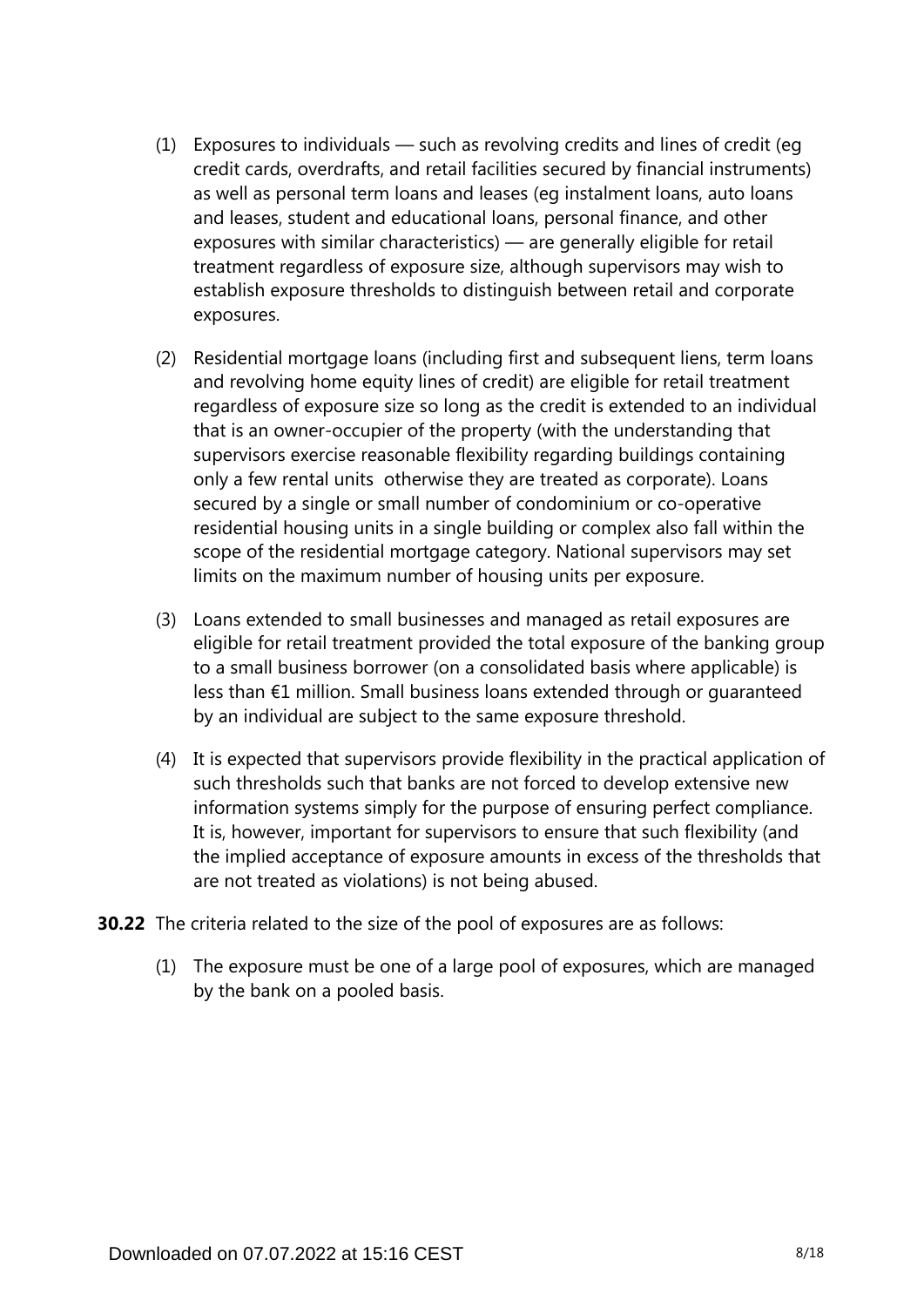- (1) Exposures to individuals such as revolving credits and lines of credit (eg credit cards, overdrafts, and retail facilities secured by financial instruments) as well as personal term loans and leases (eg instalment loans, auto loans and leases, student and educational loans, personal finance, and other exposures with similar characteristics) — are generally eligible for retail treatment regardless of exposure size, although supervisors may wish to establish exposure thresholds to distinguish between retail and corporate exposures.
- (2) Residential mortgage loans (including first and subsequent liens, term loans and revolving home equity lines of credit) are eligible for retail treatment regardless of exposure size so long as the credit is extended to an individual that is an owner-occupier of the property (with the understanding that supervisors exercise reasonable flexibility regarding buildings containing only a few rental units otherwise they are treated as corporate). Loans secured by a single or small number of condominium or co-operative residential housing units in a single building or complex also fall within the scope of the residential mortgage category. National supervisors may set limits on the maximum number of housing units per exposure.
- (3) Loans extended to small businesses and managed as retail exposures are eligible for retail treatment provided the total exposure of the banking group to a small business borrower (on a consolidated basis where applicable) is less than €1 million. Small business loans extended through or guaranteed by an individual are subject to the same exposure threshold.
- (4) It is expected that supervisors provide flexibility in the practical application of such thresholds such that banks are not forced to develop extensive new information systems simply for the purpose of ensuring perfect compliance. It is, however, important for supervisors to ensure that such flexibility (and the implied acceptance of exposure amounts in excess of the thresholds that are not treated as violations) is not being abused.
- **30.22** The criteria related to the size of the pool of exposures are as follows:
	- (1) The exposure must be one of a large pool of exposures, which are managed by the bank on a pooled basis.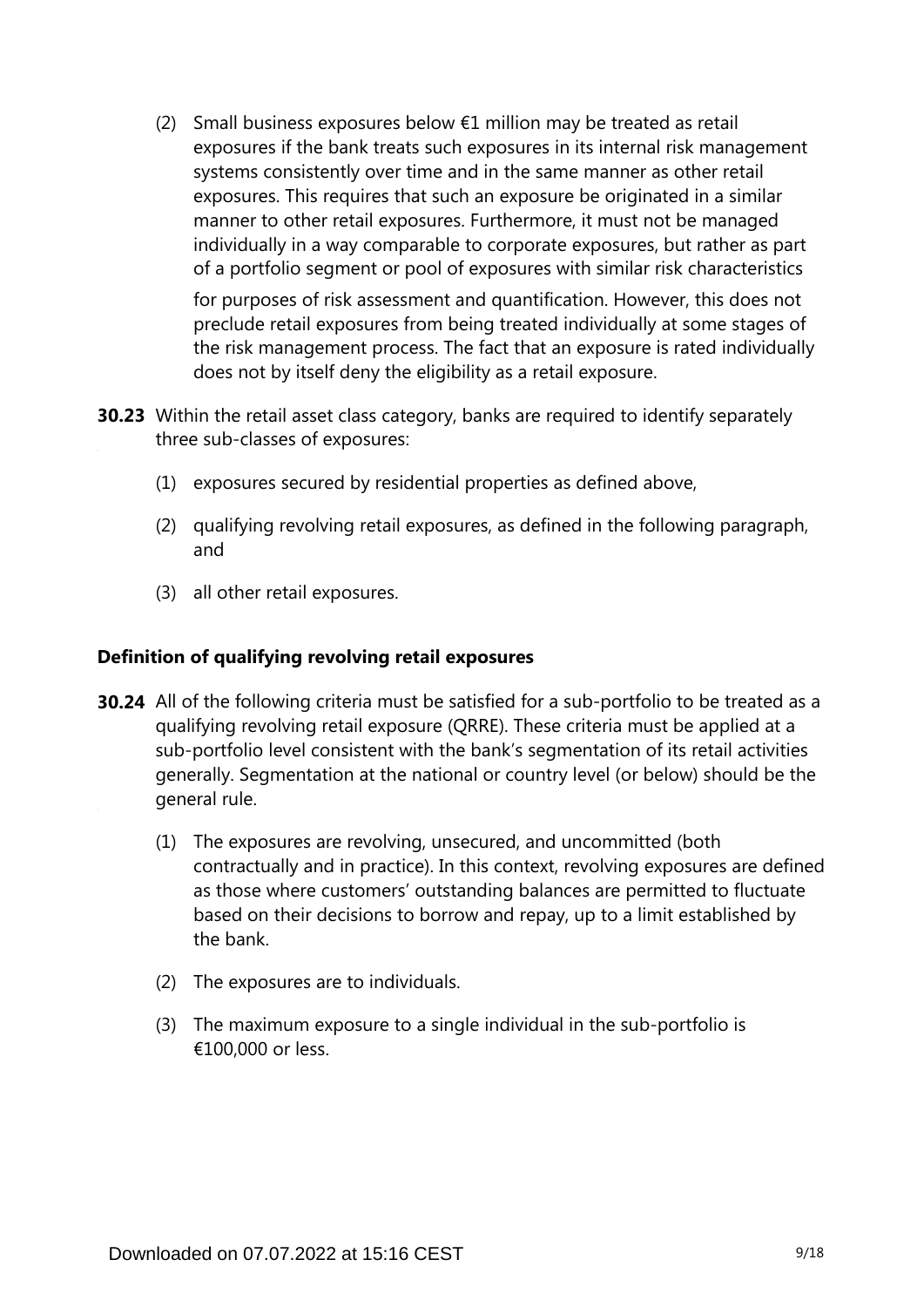- (2) Small business exposures below  $E1$  million may be treated as retail exposures if the bank treats such exposures in its internal risk management systems consistently over time and in the same manner as other retail exposures. This requires that such an exposure be originated in a similar manner to other retail exposures. Furthermore, it must not be managed individually in a way comparable to corporate exposures, but rather as part of a portfolio segment or pool of exposures with similar risk characteristics for purposes of risk assessment and quantification. However, this does not preclude retail exposures from being treated individually at some stages of the risk management process. The fact that an exposure is rated individually does not by itself deny the eligibility as a retail exposure.
- **30.23** Within the retail asset class category, banks are required to identify separately three sub-classes of exposures:
	- (1) exposures secured by residential properties as defined above,
	- (2) qualifying revolving retail exposures, as defined in the following paragraph, and
	- (3) all other retail exposures.

#### **Definition of qualifying revolving retail exposures**

- **30.24** All of the following criteria must be satisfied for a sub-portfolio to be treated as a qualifying revolving retail exposure (QRRE). These criteria must be applied at a sub-portfolio level consistent with the bank's segmentation of its retail activities generally. Segmentation at the national or country level (or below) should be the general rule.
	- (1) The exposures are revolving, unsecured, and uncommitted (both contractually and in practice). In this context, revolving exposures are defined as those where customers' outstanding balances are permitted to fluctuate based on their decisions to borrow and repay, up to a limit established by the bank.
	- (2) The exposures are to individuals.
	- (3) The maximum exposure to a single individual in the sub-portfolio is €100,000 or less.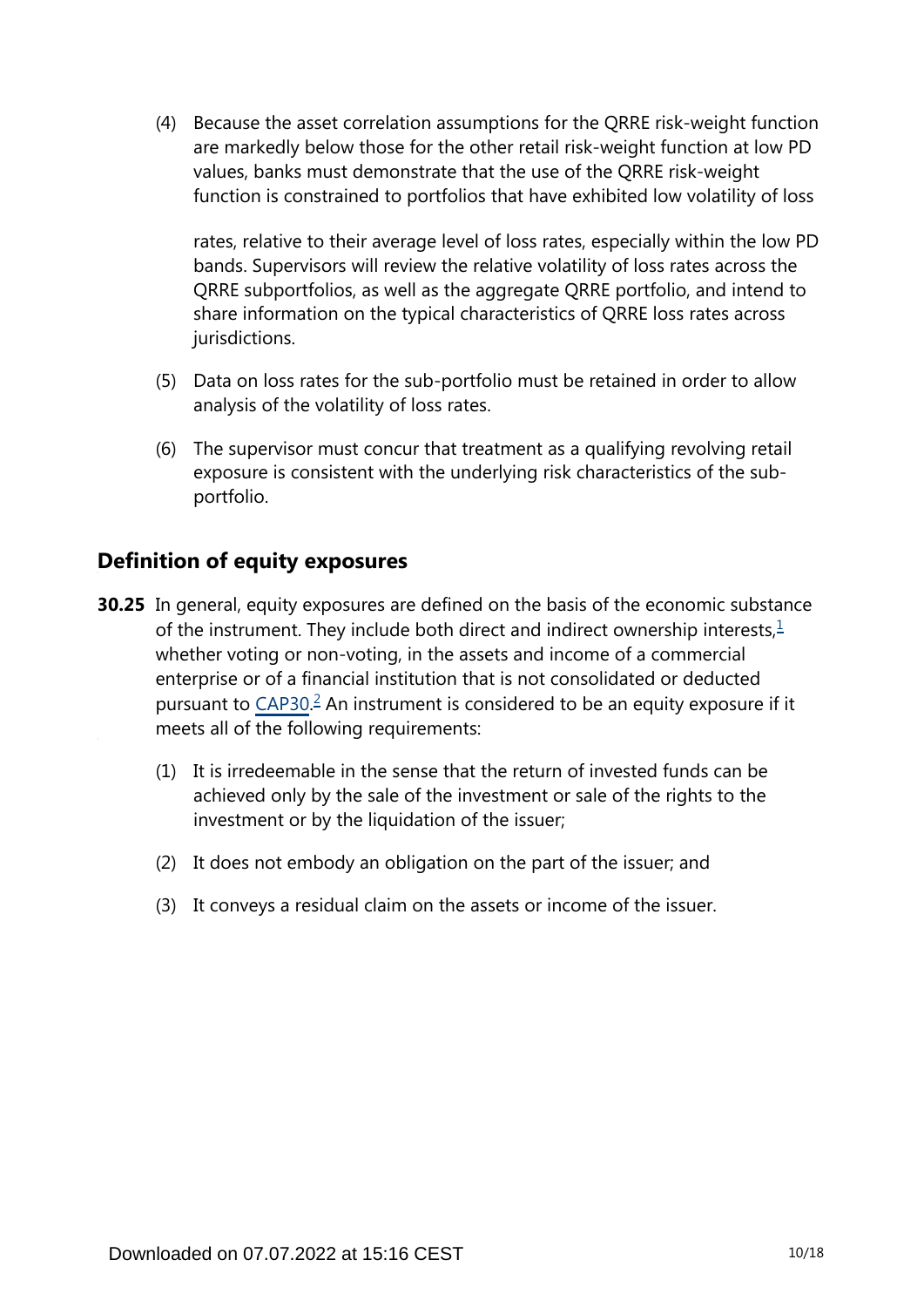(4) Because the asset correlation assumptions for the QRRE risk-weight function are markedly below those for the other retail risk-weight function at low PD values, banks must demonstrate that the use of the QRRE risk-weight function is constrained to portfolios that have exhibited low volatility of loss

rates, relative to their average level of loss rates, especially within the low PD bands. Supervisors will review the relative volatility of loss rates across the QRRE subportfolios, as well as the aggregate QRRE portfolio, and intend to share information on the typical characteristics of QRRE loss rates across jurisdictions.

- (5) Data on loss rates for the sub-portfolio must be retained in order to allow analysis of the volatility of loss rates.
- (6) The supervisor must concur that treatment as a qualifying revolving retail exposure is consistent with the underlying risk characteristics of the subportfolio.

## **Definition of equity exposures**

- <span id="page-9-1"></span><span id="page-9-0"></span>**30.25** In general, equity exposures are defined on the basis of the economic substance of the instrument. They include both direct and indirect ownership interests. $\frac{1}{2}$  $\frac{1}{2}$  $\frac{1}{2}$ whether voting or non-voting, in the assets and income of a commercial enterprise or of a financial institution that is not consolidated or deducted pursuant to  $CAP30<sup>2</sup>$  $CAP30<sup>2</sup>$  $CAP30<sup>2</sup>$  $CAP30<sup>2</sup>$  An instrument is considered to be an equity exposure if it meets all of the following requirements:
	- (1) It is irredeemable in the sense that the return of invested funds can be achieved only by the sale of the investment or sale of the rights to the investment or by the liquidation of the issuer;
	- (2) It does not embody an obligation on the part of the issuer; and
	- (3) It conveys a residual claim on the assets or income of the issuer.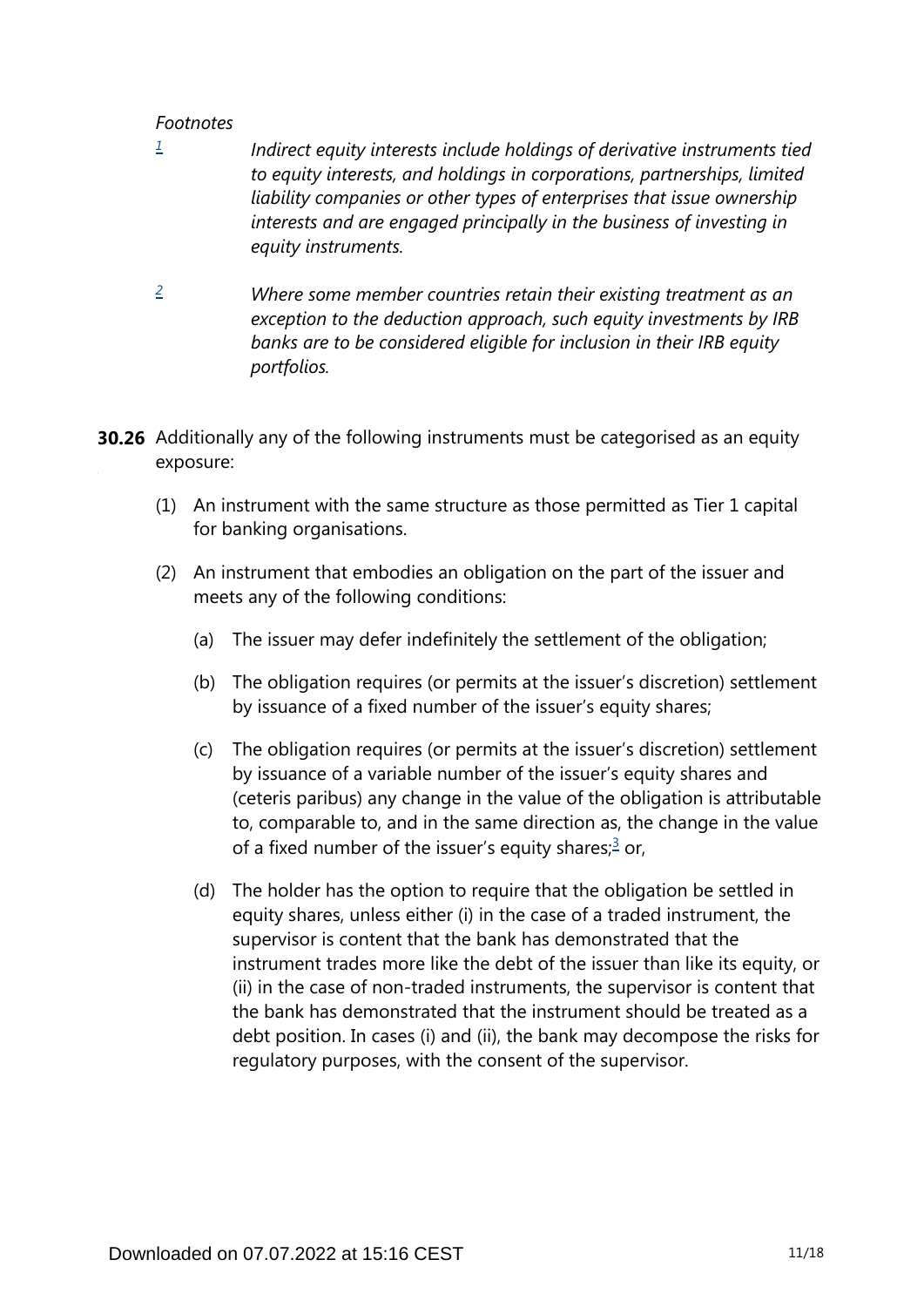#### *Footnotes*

- <span id="page-10-0"></span>*Indirect equity interests include holdings of derivative instruments tied to equity interests, and holdings in corporations, partnerships, limited liability companies or other types of enterprises that issue ownership interests and are engaged principally in the business of investing in equity instruments. [1](#page-9-0)*
- <span id="page-10-1"></span>*Where some member countries retain their existing treatment as an exception to the deduction approach, such equity investments by IRB banks are to be considered eligible for inclusion in their IRB equity portfolios. [2](#page-9-1)*
- <span id="page-10-2"></span>**30.26** Additionally any of the following instruments must be categorised as an equity exposure:
	- (1) An instrument with the same structure as those permitted as Tier 1 capital for banking organisations.
	- (2) An instrument that embodies an obligation on the part of the issuer and meets any of the following conditions:
		- (a) The issuer may defer indefinitely the settlement of the obligation;
		- (b) The obligation requires (or permits at the issuer's discretion) settlement by issuance of a fixed number of the issuer's equity shares;
		- (c) The obligation requires (or permits at the issuer's discretion) settlement by issuance of a variable number of the issuer's equity shares and (ceteris paribus) any change in the value of the obligation is attributable to, comparable to, and in the same direction as, the change in the value of a fixed number of the issuer's equity shares; $\frac{3}{2}$  $\frac{3}{2}$  $\frac{3}{2}$  or,
		- (d) The holder has the option to require that the obligation be settled in equity shares, unless either (i) in the case of a traded instrument, the supervisor is content that the bank has demonstrated that the instrument trades more like the debt of the issuer than like its equity, or (ii) in the case of non-traded instruments, the supervisor is content that the bank has demonstrated that the instrument should be treated as a debt position. In cases (i) and (ii), the bank may decompose the risks for regulatory purposes, with the consent of the supervisor.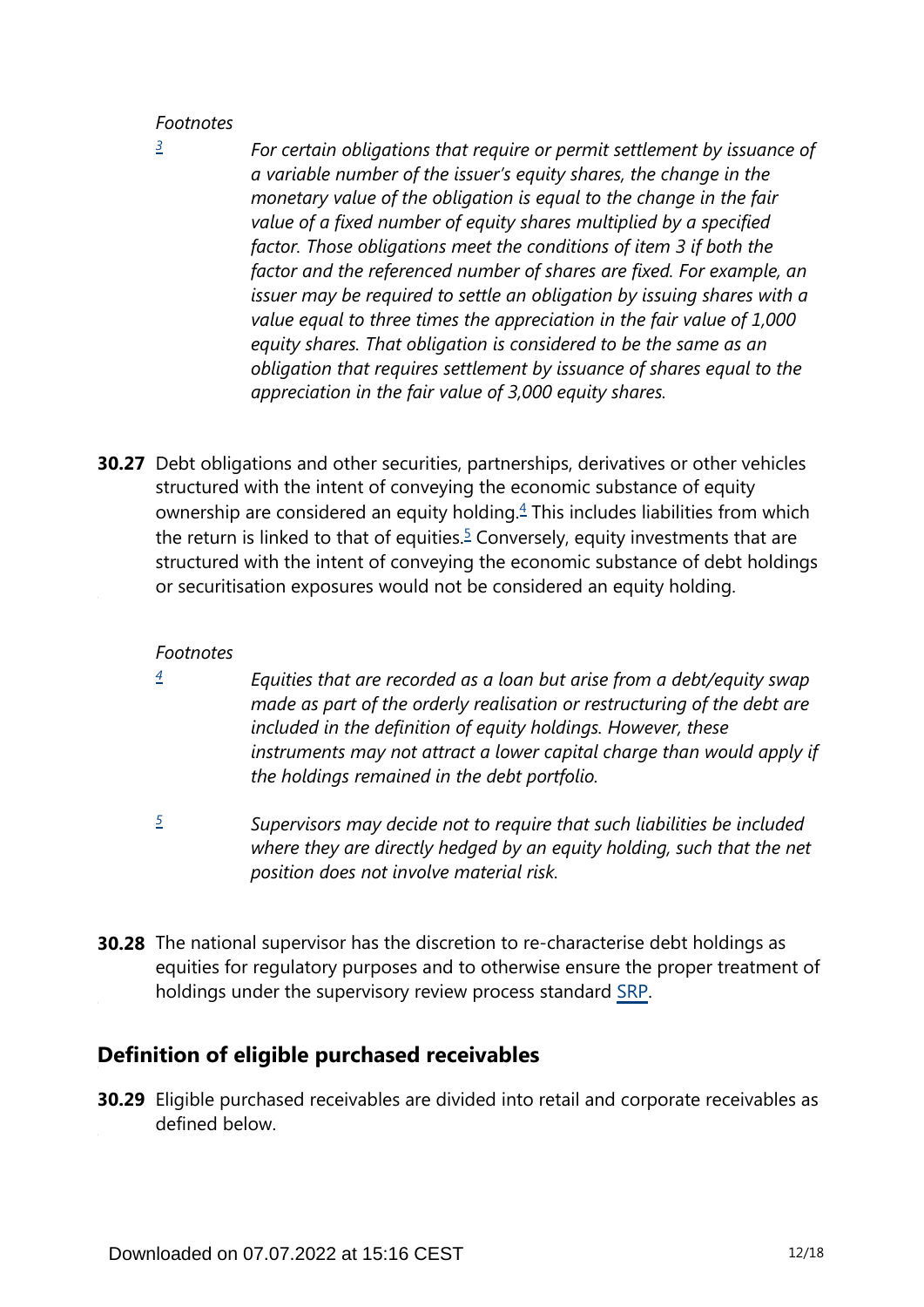#### *Footnotes*

<span id="page-11-0"></span>*[3](#page-10-2)*

*For certain obligations that require or permit settlement by issuance of a variable number of the issuer's equity shares, the change in the monetary value of the obligation is equal to the change in the fair value of a fixed number of equity shares multiplied by a specified factor. Those obligations meet the conditions of item 3 if both the factor and the referenced number of shares are fixed. For example, an issuer may be required to settle an obligation by issuing shares with a value equal to three times the appreciation in the fair value of 1,000 equity shares. That obligation is considered to be the same as an obligation that requires settlement by issuance of shares equal to the appreciation in the fair value of 3,000 equity shares.*

<span id="page-11-4"></span><span id="page-11-3"></span>**30.27** Debt obligations and other securities, partnerships, derivatives or other vehicles structured with the intent of conveying the economic substance of equity ownership are considered an equity holding.<sup>[4](#page-11-1)</sup> This includes liabilities from which the return is linked to that of equities. $5$  Conversely, equity investments that are structured with the intent of conveying the economic substance of debt holdings or securitisation exposures would not be considered an equity holding.

#### *Footnotes*

<span id="page-11-1"></span>*Equities that are recorded as a loan but arise from a debt/equity swap made as part of the orderly realisation or restructuring of the debt are included in the definition of equity holdings. However, these instruments may not attract a lower capital charge than would apply if the holdings remained in the debt portfolio. [4](#page-11-3)*

- <span id="page-11-2"></span>*Supervisors may decide not to require that such liabilities be included where they are directly hedged by an equity holding, such that the net position does not involve material risk. [5](#page-11-4)*
- **30.28** The national supervisor has the discretion to re-characterise debt holdings as equities for regulatory purposes and to otherwise ensure the proper treatment of holdings under the supervisory review process standard [SRP.](https://www.bis.org/basel_framework/standard/SRP.htm?tldate=20220102)

## **Definition of eligible purchased receivables**

**30.29** Eligible purchased receivables are divided into retail and corporate receivables as defined below.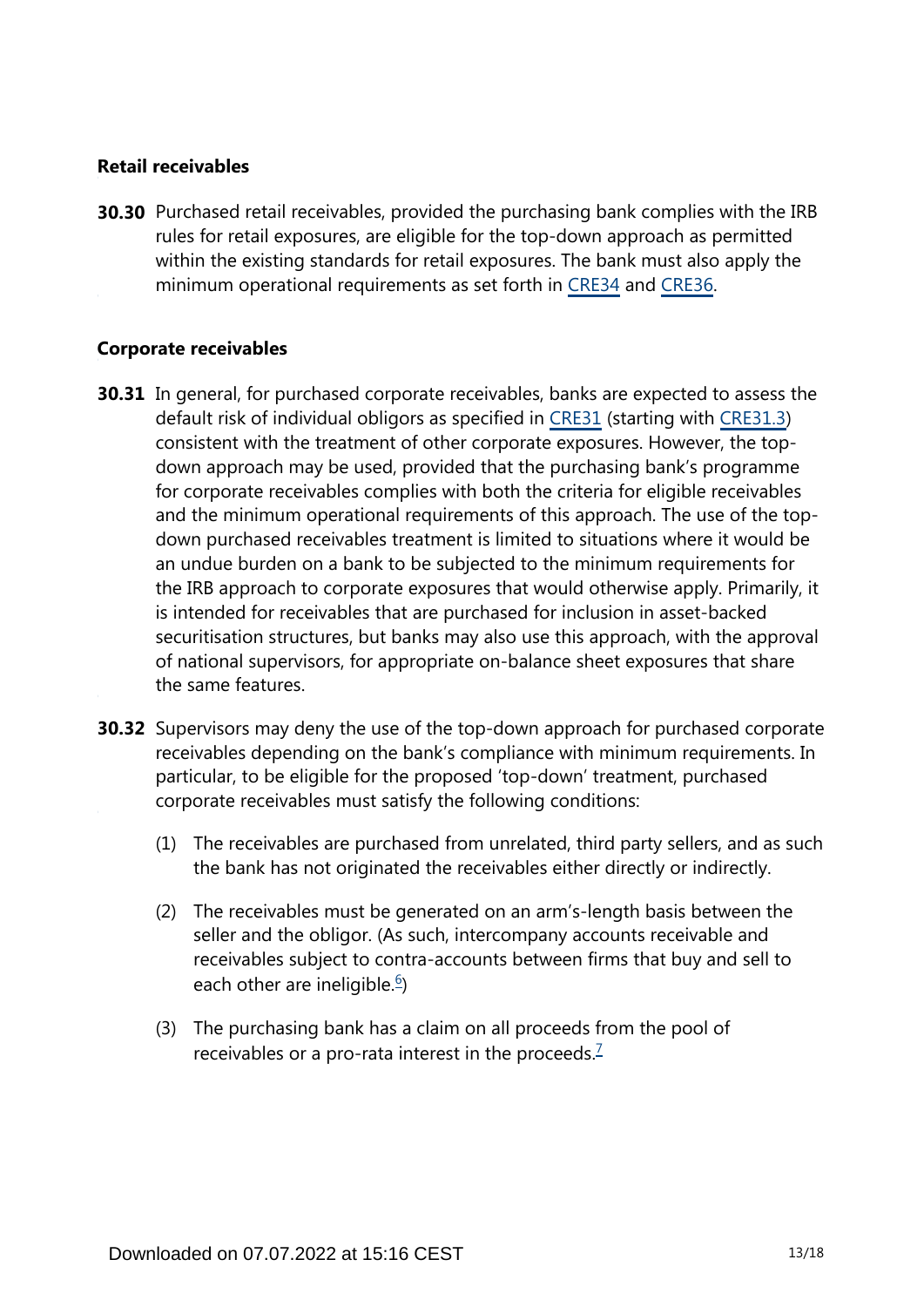#### **Retail receivables**

**30.30** Purchased retail receivables, provided the purchasing bank complies with the IRB rules for retail exposures, are eligible for the top-down approach as permitted within the existing standards for retail exposures. The bank must also apply the minimum operational requirements as set forth in [CRE34](https://www.bis.org/basel_framework/chapter/CRE/34.htm?tldate=20220102&inforce=20191215&published=20191215) and [CRE36.](https://www.bis.org/basel_framework/chapter/CRE/36.htm?tldate=20220102&inforce=20191215&published=20191215)

#### **Corporate receivables**

- **30.31** In general, for purchased corporate receivables, banks are expected to assess the default risk of individual obligors as specified in [CRE31](https://www.bis.org/basel_framework/chapter/CRE/31.htm?tldate=20220102&inforce=20191215&published=20191215) (starting with [CRE31.3\)](https://www.bis.org/basel_framework/chapter/CRE/31.htm?tldate=20220102&inforce=20191215&published=20191215#paragraph_CRE_31_20191215_31_3) consistent with the treatment of other corporate exposures. However, the topdown approach may be used, provided that the purchasing bank's programme for corporate receivables complies with both the criteria for eligible receivables and the minimum operational requirements of this approach. The use of the topdown purchased receivables treatment is limited to situations where it would be an undue burden on a bank to be subjected to the minimum requirements for the IRB approach to corporate exposures that would otherwise apply. Primarily, it is intended for receivables that are purchased for inclusion in asset-backed securitisation structures, but banks may also use this approach, with the approval of national supervisors, for appropriate on-balance sheet exposures that share the same features.
- <span id="page-12-1"></span><span id="page-12-0"></span>**30.32** Supervisors may deny the use of the top-down approach for purchased corporate receivables depending on the bank's compliance with minimum requirements. In particular, to be eligible for the proposed 'top-down' treatment, purchased corporate receivables must satisfy the following conditions:
	- (1) The receivables are purchased from unrelated, third party sellers, and as such the bank has not originated the receivables either directly or indirectly.
	- (2) The receivables must be generated on an arm's-length basis between the seller and the obligor. (As such, intercompany accounts receivable and receivables subject to contra-accounts between firms that buy and sell to each other are ineligible.<sup>[6](#page-13-0)</sup>)
	- (3) The purchasing bank has a claim on all proceeds from the pool of receivables or a pro-rata interest in the proceeds.<sup>[7](#page-13-1)</sup>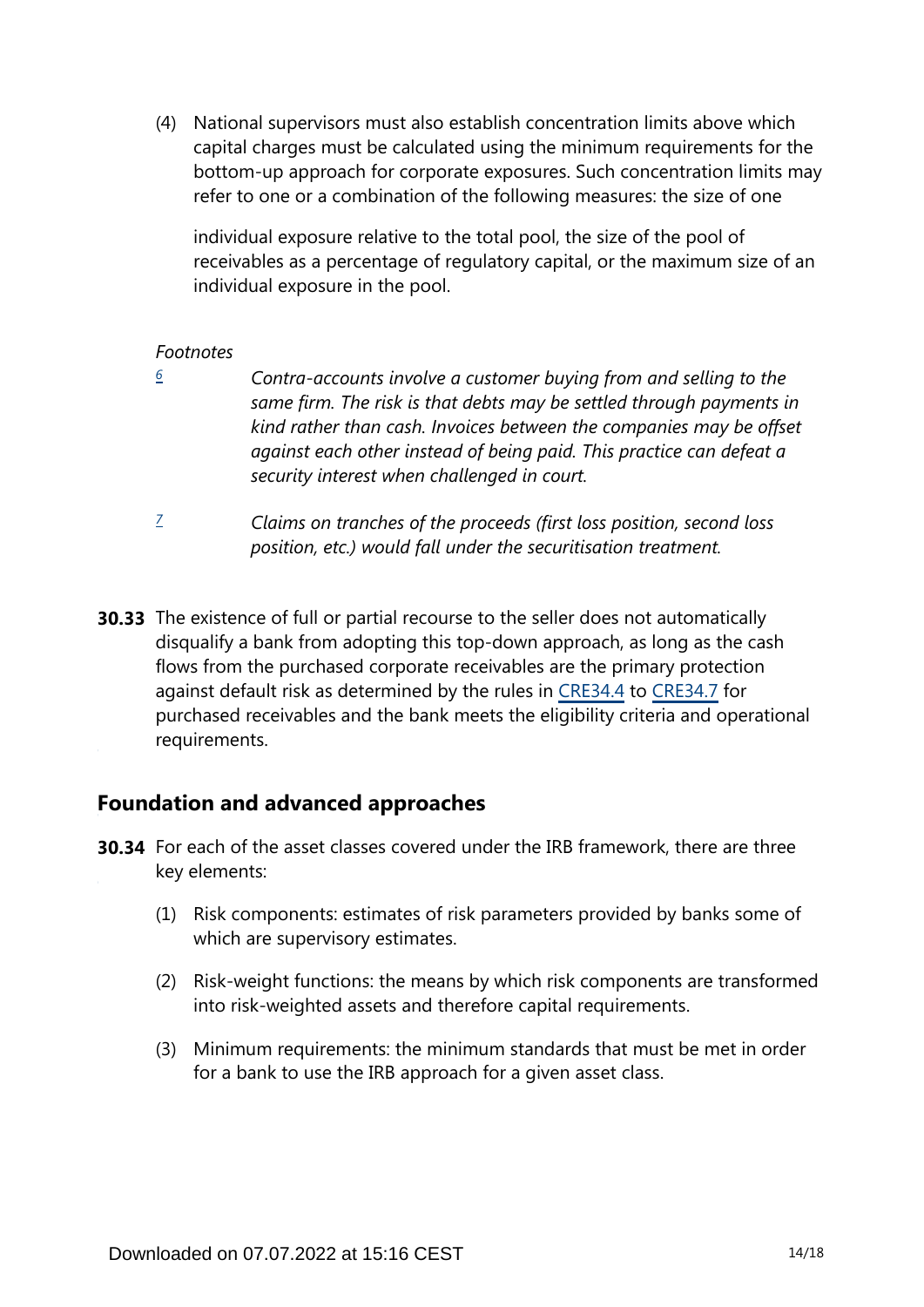(4) National supervisors must also establish concentration limits above which capital charges must be calculated using the minimum requirements for the bottom-up approach for corporate exposures. Such concentration limits may refer to one or a combination of the following measures: the size of one

individual exposure relative to the total pool, the size of the pool of receivables as a percentage of regulatory capital, or the maximum size of an individual exposure in the pool.

#### *Footnotes*

<span id="page-13-0"></span>*[6](#page-12-0)*

- *Contra-accounts involve a customer buying from and selling to the same firm. The risk is that debts may be settled through payments in kind rather than cash. Invoices between the companies may be offset against each other instead of being paid. This practice can defeat a security interest when challenged in court.*
- *Claims on tranches of the proceeds (first loss position, second loss position, etc.) would fall under the securitisation treatment. [7](#page-12-1)*
- <span id="page-13-1"></span>**30.33** The existence of full or partial recourse to the seller does not automatically disqualify a bank from adopting this top-down approach, as long as the cash flows from the purchased corporate receivables are the primary protection against default risk as determined by the rules in [CRE34.4](https://www.bis.org/basel_framework/chapter/CRE/34.htm?tldate=20220102&inforce=20191215&published=20191215#paragraph_CRE_34_20191215_34_4) to [CRE34.7](https://www.bis.org/basel_framework/chapter/CRE/34.htm?tldate=20220102&inforce=20191215&published=20191215#paragraph_CRE_34_20191215_34_7) for purchased receivables and the bank meets the eligibility criteria and operational requirements.

## **Foundation and advanced approaches**

- **30.34** For each of the asset classes covered under the IRB framework, there are three key elements:
	- (1) Risk components: estimates of risk parameters provided by banks some of which are supervisory estimates.
	- (2) Risk-weight functions: the means by which risk components are transformed into risk-weighted assets and therefore capital requirements.
	- (3) Minimum requirements: the minimum standards that must be met in order for a bank to use the IRB approach for a given asset class.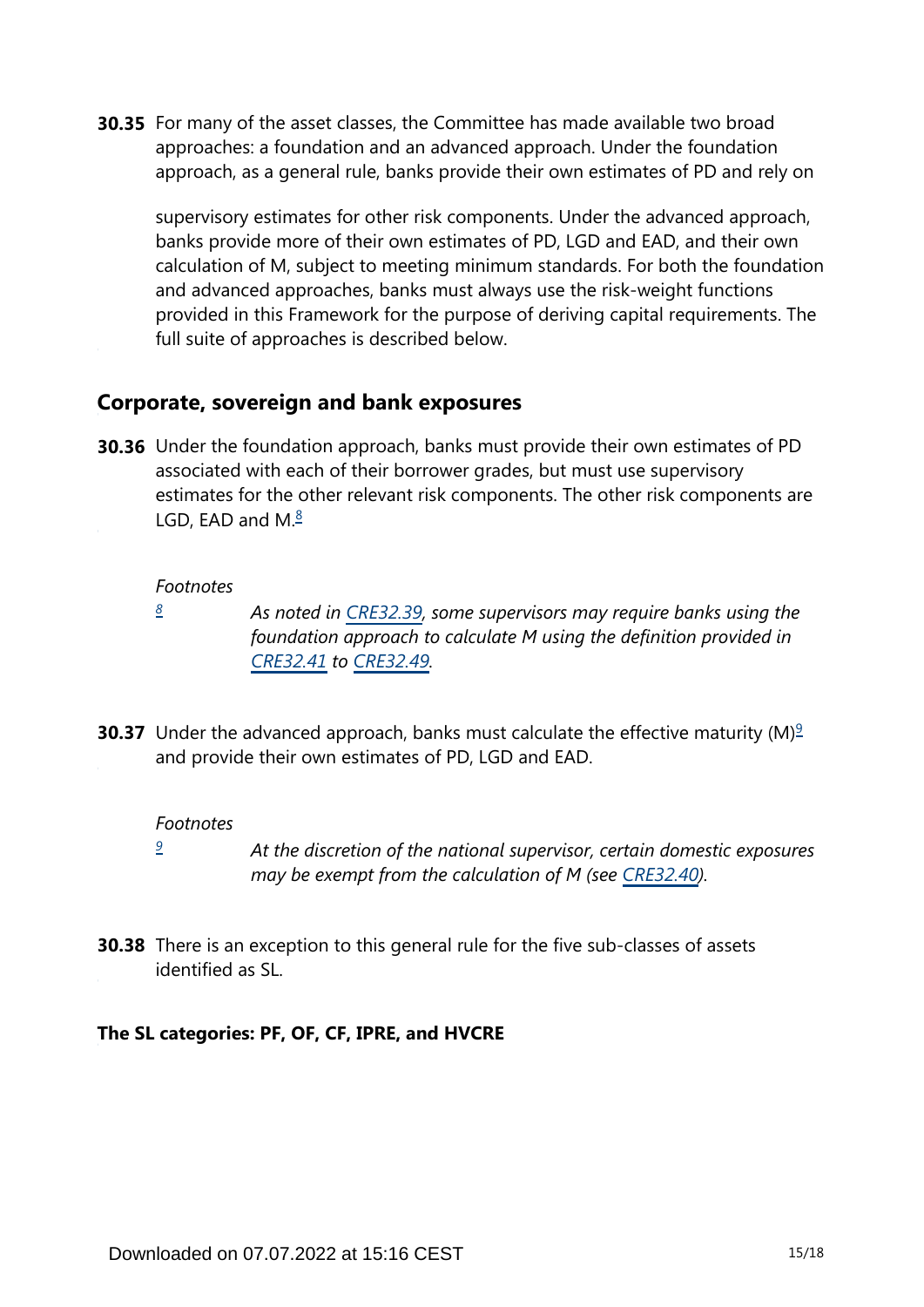**30.35** For many of the asset classes, the Committee has made available two broad approaches: a foundation and an advanced approach. Under the foundation approach, as a general rule, banks provide their own estimates of PD and rely on

supervisory estimates for other risk components. Under the advanced approach, banks provide more of their own estimates of PD, LGD and EAD, and their own calculation of M, subject to meeting minimum standards. For both the foundation and advanced approaches, banks must always use the risk-weight functions provided in this Framework for the purpose of deriving capital requirements. The full suite of approaches is described below.

## **Corporate, sovereign and bank exposures**

<span id="page-14-1"></span>**30.36** Under the foundation approach, banks must provide their own estimates of PD associated with each of their borrower grades, but must use supervisory estimates for the other relevant risk components. The other risk components are LGD, EAD and  $M<sup>8</sup>$  $M<sup>8</sup>$  $M<sup>8</sup>$ 

#### *Footnotes*

<span id="page-14-0"></span>*[8](#page-14-1)*

*As noted in [CRE32.39](https://www.bis.org/basel_framework/chapter/CRE/32.htm?tldate=20220102&inforce=20191215&published=20191215#paragraph_CRE_32_20191215_32_39), some supervisors may require banks using the foundation approach to calculate M using the definition provided in [CRE32.41](https://www.bis.org/basel_framework/chapter/CRE/32.htm?tldate=20220102&inforce=20191215&published=20191215#paragraph_CRE_32_20191215_32_41) to [CRE32.49.](https://www.bis.org/basel_framework/chapter/CRE/32.htm?tldate=20220102&inforce=20191215&published=20191215#paragraph_CRE_32_20191215_32_49)*

<span id="page-14-3"></span>**30.37** Under the advanced approach, banks must calculate the effective maturity (M)<sup>[9](#page-14-2)</sup> and provide their own estimates of PD, LGD and EAD.

#### *Footnotes*

*[9](#page-14-3)*

*At the discretion of the national supervisor, certain domestic exposures may be exempt from the calculation of M (see [CRE32.40](https://www.bis.org/basel_framework/chapter/CRE/32.htm?tldate=20220102&inforce=20191215&published=20191215#paragraph_CRE_32_20191215_32_40)).*

<span id="page-14-2"></span>**30.38** There is an exception to this general rule for the five sub-classes of assets identified as SL.

**The SL categories: PF, OF, CF, IPRE, and HVCRE**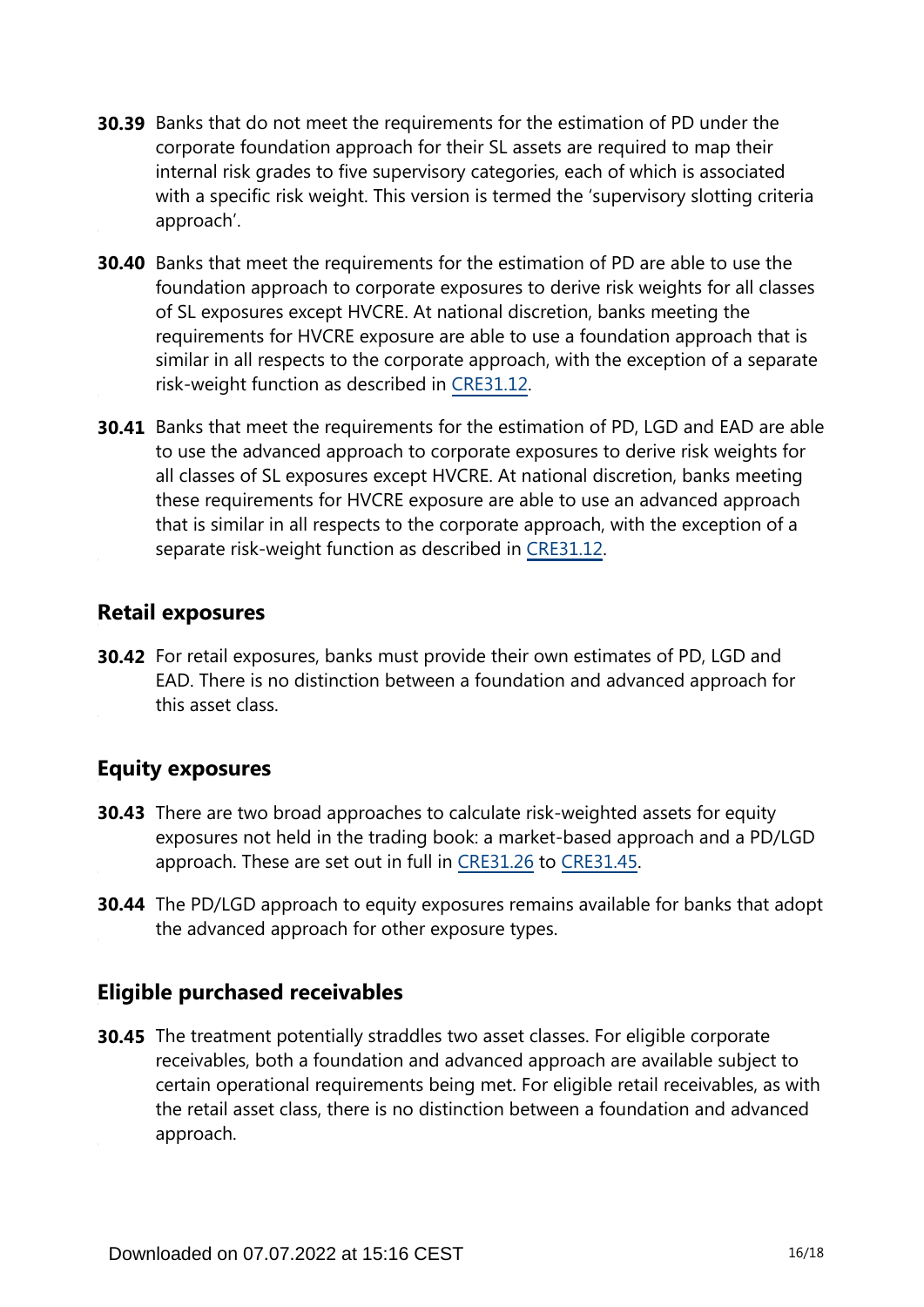- **30.39** Banks that do not meet the requirements for the estimation of PD under the corporate foundation approach for their SL assets are required to map their internal risk grades to five supervisory categories, each of which is associated with a specific risk weight. This version is termed the 'supervisory slotting criteria approach'.
- **30.40** Banks that meet the requirements for the estimation of PD are able to use the foundation approach to corporate exposures to derive risk weights for all classes of SL exposures except HVCRE. At national discretion, banks meeting the requirements for HVCRE exposure are able to use a foundation approach that is similar in all respects to the corporate approach, with the exception of a separate risk-weight function as described in [CRE31.12](https://www.bis.org/basel_framework/chapter/CRE/31.htm?tldate=20220102&inforce=20191215&published=20191215#paragraph_CRE_31_20191215_31_12).
- **30.41** Banks that meet the requirements for the estimation of PD, LGD and EAD are able to use the advanced approach to corporate exposures to derive risk weights for all classes of SL exposures except HVCRE. At national discretion, banks meeting these requirements for HVCRE exposure are able to use an advanced approach that is similar in all respects to the corporate approach, with the exception of a separate risk-weight function as described in [CRE31.12.](https://www.bis.org/basel_framework/chapter/CRE/31.htm?tldate=20220102&inforce=20191215&published=20191215#paragraph_CRE_31_20191215_31_12)

## **Retail exposures**

**30.42** For retail exposures, banks must provide their own estimates of PD, LGD and EAD. There is no distinction between a foundation and advanced approach for this asset class.

## **Equity exposures**

- **30.43** There are two broad approaches to calculate risk-weighted assets for equity exposures not held in the trading book: a market-based approach and a PD/LGD approach. These are set out in full in [CRE31.26](https://www.bis.org/basel_framework/chapter/CRE/31.htm?tldate=20220102&inforce=20191215&published=20191215#paragraph_CRE_31_20191215_31_26) to [CRE31.45.](https://www.bis.org/basel_framework/chapter/CRE/31.htm?tldate=20220102&inforce=20191215&published=20191215#paragraph_CRE_31_20191215_31_45)
- **30.44** The PD/LGD approach to equity exposures remains available for banks that adopt the advanced approach for other exposure types.

## **Eligible purchased receivables**

**30.45** The treatment potentially straddles two asset classes. For eligible corporate receivables, both a foundation and advanced approach are available subject to certain operational requirements being met. For eligible retail receivables, as with the retail asset class, there is no distinction between a foundation and advanced approach.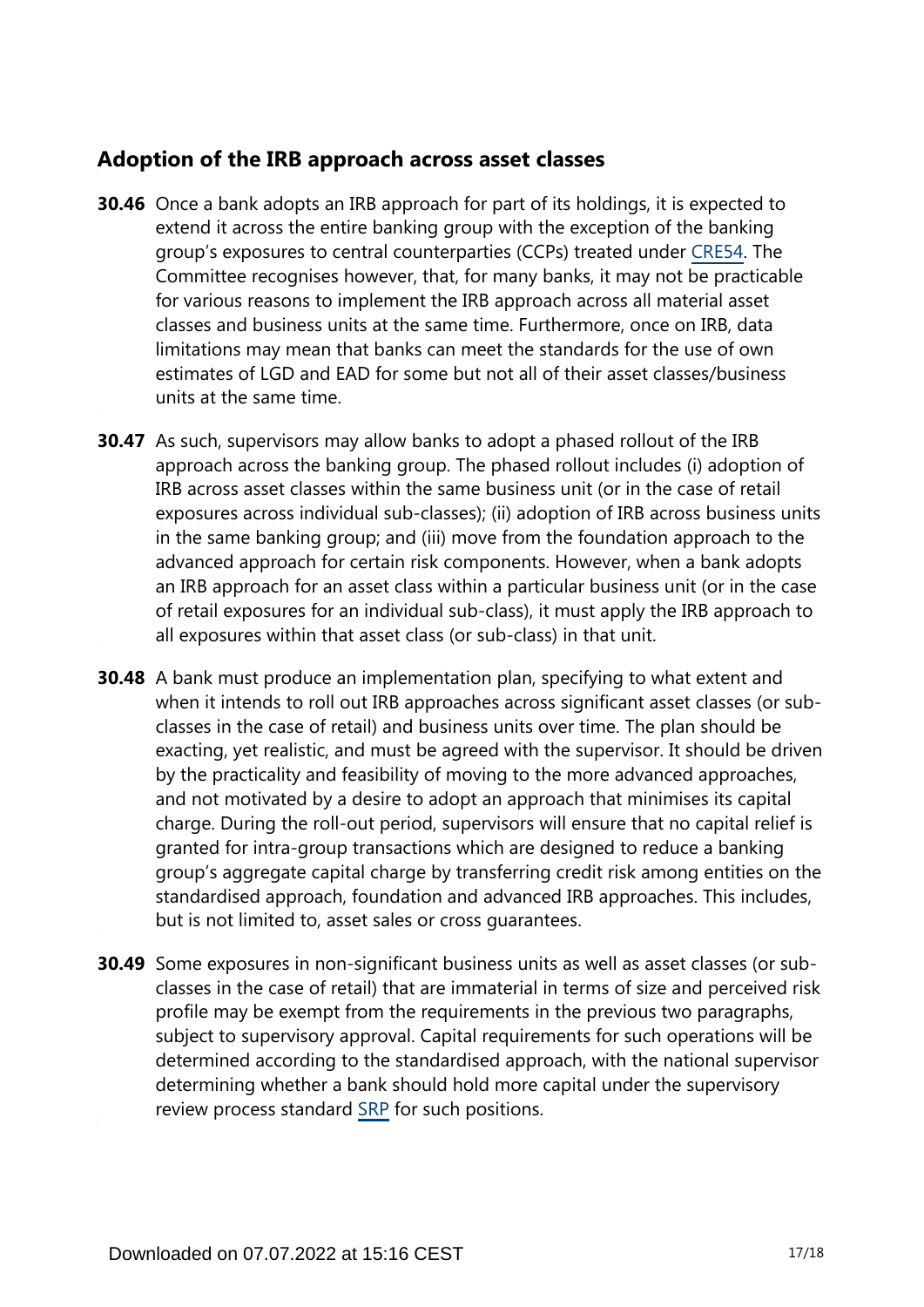## **Adoption of the IRB approach across asset classes**

- **30.46** Once a bank adopts an IRB approach for part of its holdings, it is expected to extend it across the entire banking group with the exception of the banking group's exposures to central counterparties (CCPs) treated under [CRE54](https://www.bis.org/basel_framework/chapter/CRE/54.htm?tldate=20220102&inforce=20191215&published=20191215). The Committee recognises however, that, for many banks, it may not be practicable for various reasons to implement the IRB approach across all material asset classes and business units at the same time. Furthermore, once on IRB, data limitations may mean that banks can meet the standards for the use of own estimates of LGD and EAD for some but not all of their asset classes/business units at the same time.
- **30.47** As such, supervisors may allow banks to adopt a phased rollout of the IRB approach across the banking group. The phased rollout includes (i) adoption of IRB across asset classes within the same business unit (or in the case of retail exposures across individual sub-classes); (ii) adoption of IRB across business units in the same banking group; and (iii) move from the foundation approach to the advanced approach for certain risk components. However, when a bank adopts an IRB approach for an asset class within a particular business unit (or in the case of retail exposures for an individual sub-class), it must apply the IRB approach to all exposures within that asset class (or sub-class) in that unit.
- **30.48** A bank must produce an implementation plan, specifying to what extent and when it intends to roll out IRB approaches across significant asset classes (or subclasses in the case of retail) and business units over time. The plan should be exacting, yet realistic, and must be agreed with the supervisor. It should be driven by the practicality and feasibility of moving to the more advanced approaches, and not motivated by a desire to adopt an approach that minimises its capital charge. During the roll-out period, supervisors will ensure that no capital relief is granted for intra-group transactions which are designed to reduce a banking group's aggregate capital charge by transferring credit risk among entities on the standardised approach, foundation and advanced IRB approaches. This includes, but is not limited to, asset sales or cross guarantees.
- **30.49** Some exposures in non-significant business units as well as asset classes (or subclasses in the case of retail) that are immaterial in terms of size and perceived risk profile may be exempt from the requirements in the previous two paragraphs, subject to supervisory approval. Capital requirements for such operations will be determined according to the standardised approach, with the national supervisor determining whether a bank should hold more capital under the supervisory review process standard [SRP](https://www.bis.org/basel_framework/standard/SRP.htm?tldate=20220102) for such positions.